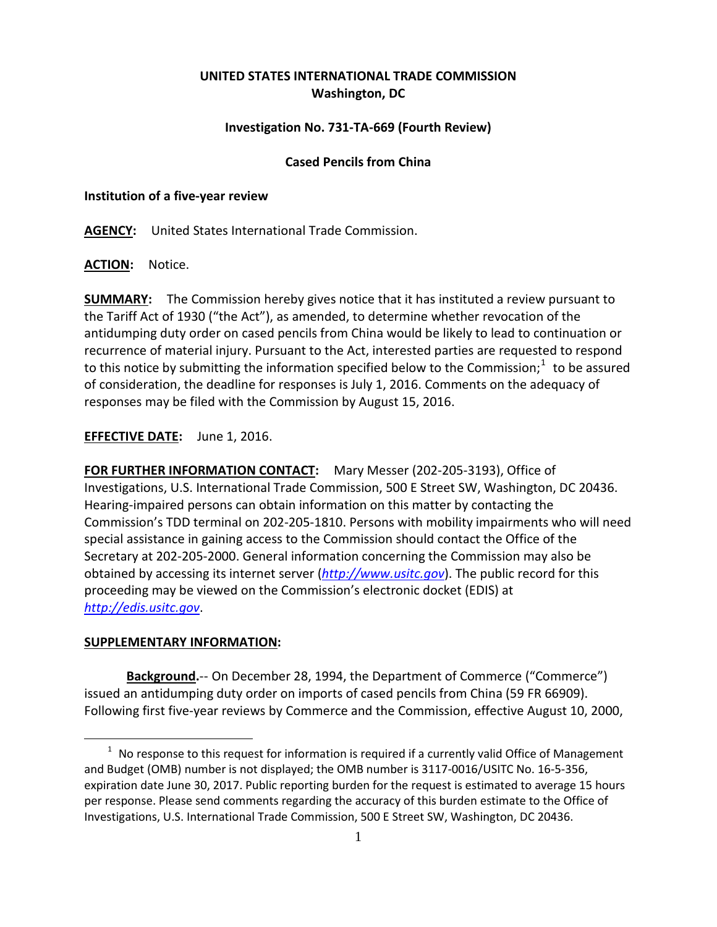# **UNITED STATES INTERNATIONAL TRADE COMMISSION Washington, DC**

## **Investigation No. 731-TA-669 (Fourth Review)**

### **Cased Pencils from China**

#### **Institution of a five-year review**

**AGENCY:** United States International Trade Commission.

**ACTION:** Notice.

**SUMMARY:** The Commission hereby gives notice that it has instituted a review pursuant to the Tariff Act of 1930 ("the Act"), as amended, to determine whether revocation of the antidumping duty order on cased pencils from China would be likely to lead to continuation or recurrence of material injury. Pursuant to the Act, interested parties are requested to respond to this notice by submitting the information specified below to the Commission;<sup>[1](#page-0-0)</sup> to be assured of consideration, the deadline for responses is July 1, 2016. Comments on the adequacy of responses may be filed with the Commission by August 15, 2016.

**EFFECTIVE DATE:** June 1, 2016.

**FOR FURTHER INFORMATION CONTACT:** Mary Messer (202-205-3193), Office of Investigations, U.S. International Trade Commission, 500 E Street SW, Washington, DC 20436. Hearing-impaired persons can obtain information on this matter by contacting the Commission's TDD terminal on 202-205-1810. Persons with mobility impairments who will need special assistance in gaining access to the Commission should contact the Office of the Secretary at 202-205-2000. General information concerning the Commission may also be obtained by accessing its internet server (*[http://www.usitc.gov](http://www.usitc.gov/)*). The public record for this proceeding may be viewed on the Commission's electronic docket (EDIS) at *[http://edis.usitc.gov](http://edis.usitc.gov/)*.

### **SUPPLEMENTARY INFORMATION:**

 $\overline{a}$ 

**Background.**-- On December 28, 1994, the Department of Commerce ("Commerce") issued an antidumping duty order on imports of cased pencils from China (59 FR 66909). Following first five-year reviews by Commerce and the Commission, effective August 10, 2000,

<span id="page-0-0"></span> $1$  No response to this request for information is required if a currently valid Office of Management and Budget (OMB) number is not displayed; the OMB number is 3117-0016/USITC No. 16-5-356, expiration date June 30, 2017. Public reporting burden for the request is estimated to average 15 hours per response. Please send comments regarding the accuracy of this burden estimate to the Office of Investigations, U.S. International Trade Commission, 500 E Street SW, Washington, DC 20436.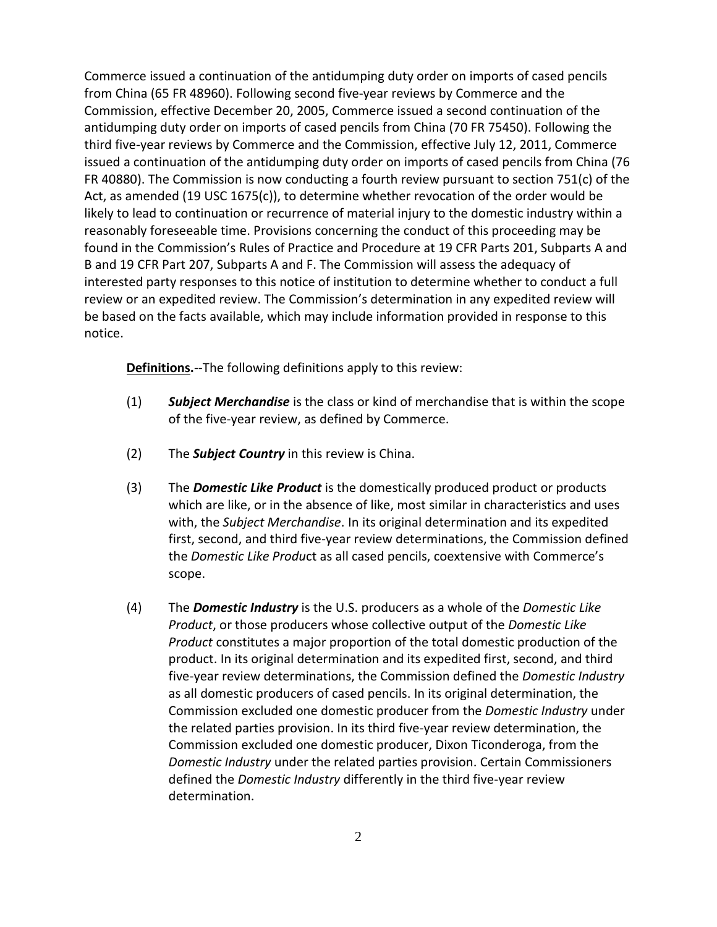Commerce issued a continuation of the antidumping duty order on imports of cased pencils from China (65 FR 48960). Following second five-year reviews by Commerce and the Commission, effective December 20, 2005, Commerce issued a second continuation of the antidumping duty order on imports of cased pencils from China (70 FR 75450). Following the third five-year reviews by Commerce and the Commission, effective July 12, 2011, Commerce issued a continuation of the antidumping duty order on imports of cased pencils from China (76 FR 40880). The Commission is now conducting a fourth review pursuant to section 751(c) of the Act, as amended (19 USC 1675(c)), to determine whether revocation of the order would be likely to lead to continuation or recurrence of material injury to the domestic industry within a reasonably foreseeable time. Provisions concerning the conduct of this proceeding may be found in the Commission's Rules of Practice and Procedure at 19 CFR Parts 201, Subparts A and B and 19 CFR Part 207, Subparts A and F. The Commission will assess the adequacy of interested party responses to this notice of institution to determine whether to conduct a full review or an expedited review. The Commission's determination in any expedited review will be based on the facts available, which may include information provided in response to this notice.

**Definitions.**--The following definitions apply to this review:

- (1) *Subject Merchandise* is the class or kind of merchandise that is within the scope of the five-year review, as defined by Commerce.
- (2) The *Subject Country* in this review is China.
- (3) The *Domestic Like Product* is the domestically produced product or products which are like, or in the absence of like, most similar in characteristics and uses with, the *Subject Merchandise*. In its original determination and its expedited first, second, and third five-year review determinations, the Commission defined the *Domestic Like Produ*ct as all cased pencils, coextensive with Commerce's scope.
- (4) The *Domestic Industry* is the U.S. producers as a whole of the *Domestic Like Product*, or those producers whose collective output of the *Domestic Like Product* constitutes a major proportion of the total domestic production of the product. In its original determination and its expedited first, second, and third five-year review determinations, the Commission defined the *Domestic Industry* as all domestic producers of cased pencils. In its original determination, the Commission excluded one domestic producer from the *Domestic Industry* under the related parties provision. In its third five-year review determination, the Commission excluded one domestic producer, Dixon Ticonderoga, from the *Domestic Industry* under the related parties provision. Certain Commissioners defined the *Domestic Industry* differently in the third five-year review determination.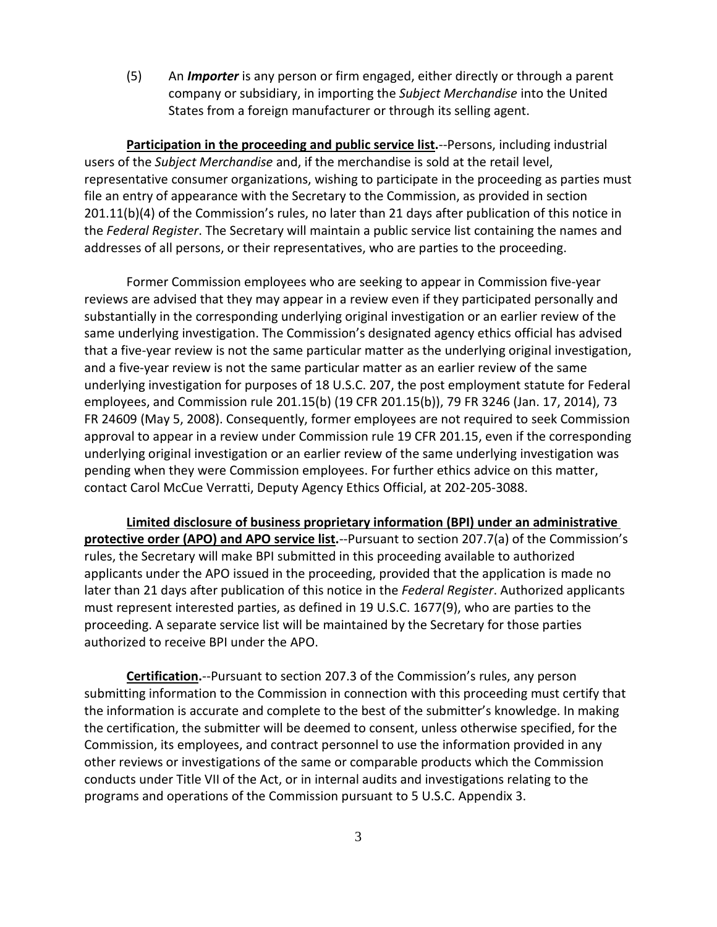(5) An *Importer* is any person or firm engaged, either directly or through a parent company or subsidiary, in importing the *Subject Merchandise* into the United States from a foreign manufacturer or through its selling agent.

**Participation in the proceeding and public service list.**--Persons, including industrial users of the *Subject Merchandise* and, if the merchandise is sold at the retail level, representative consumer organizations, wishing to participate in the proceeding as parties must file an entry of appearance with the Secretary to the Commission, as provided in section 201.11(b)(4) of the Commission's rules, no later than 21 days after publication of this notice in the *Federal Register*. The Secretary will maintain a public service list containing the names and addresses of all persons, or their representatives, who are parties to the proceeding.

Former Commission employees who are seeking to appear in Commission five-year reviews are advised that they may appear in a review even if they participated personally and substantially in the corresponding underlying original investigation or an earlier review of the same underlying investigation. The Commission's designated agency ethics official has advised that a five-year review is not the same particular matter as the underlying original investigation, and a five-year review is not the same particular matter as an earlier review of the same underlying investigation for purposes of 18 U.S.C. 207, the post employment statute for Federal employees, and Commission rule 201.15(b) (19 CFR 201.15(b)), 79 FR 3246 (Jan. 17, 2014), 73 FR 24609 (May 5, 2008). Consequently, former employees are not required to seek Commission approval to appear in a review under Commission rule 19 CFR 201.15, even if the corresponding underlying original investigation or an earlier review of the same underlying investigation was pending when they were Commission employees. For further ethics advice on this matter, contact Carol McCue Verratti, Deputy Agency Ethics Official, at 202-205-3088.

**Limited disclosure of business proprietary information (BPI) under an administrative protective order (APO) and APO service list.**--Pursuant to section 207.7(a) of the Commission's rules, the Secretary will make BPI submitted in this proceeding available to authorized applicants under the APO issued in the proceeding, provided that the application is made no later than 21 days after publication of this notice in the *Federal Register*. Authorized applicants must represent interested parties, as defined in 19 U.S.C. 1677(9), who are parties to the proceeding. A separate service list will be maintained by the Secretary for those parties authorized to receive BPI under the APO.

**Certification.**--Pursuant to section 207.3 of the Commission's rules, any person submitting information to the Commission in connection with this proceeding must certify that the information is accurate and complete to the best of the submitter's knowledge. In making the certification, the submitter will be deemed to consent, unless otherwise specified, for the Commission, its employees, and contract personnel to use the information provided in any other reviews or investigations of the same or comparable products which the Commission conducts under Title VII of the Act, or in internal audits and investigations relating to the programs and operations of the Commission pursuant to 5 U.S.C. Appendix 3.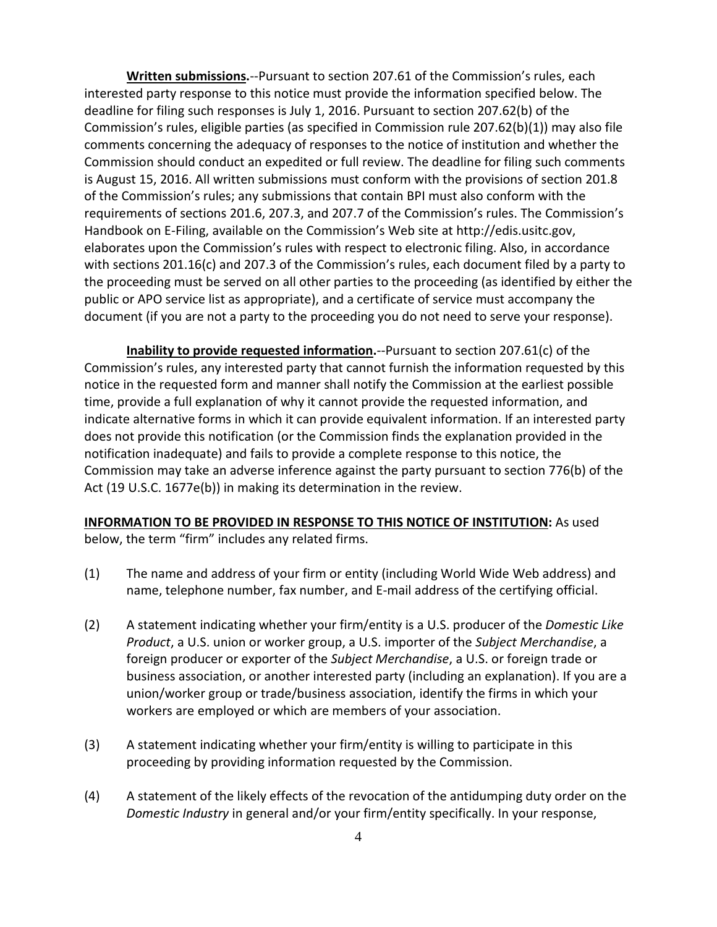**Written submissions.**--Pursuant to section 207.61 of the Commission's rules, each interested party response to this notice must provide the information specified below. The deadline for filing such responses is July 1, 2016. Pursuant to section 207.62(b) of the Commission's rules, eligible parties (as specified in Commission rule 207.62(b)(1)) may also file comments concerning the adequacy of responses to the notice of institution and whether the Commission should conduct an expedited or full review. The deadline for filing such comments is August 15, 2016. All written submissions must conform with the provisions of section 201.8 of the Commission's rules; any submissions that contain BPI must also conform with the requirements of sections 201.6, 207.3, and 207.7 of the Commission's rules. The Commission's Handbook on E-Filing, available on the Commission's Web site at http://edis.usitc.gov, elaborates upon the Commission's rules with respect to electronic filing. Also, in accordance with sections 201.16(c) and 207.3 of the Commission's rules, each document filed by a party to the proceeding must be served on all other parties to the proceeding (as identified by either the public or APO service list as appropriate), and a certificate of service must accompany the document (if you are not a party to the proceeding you do not need to serve your response).

**Inability to provide requested information.**--Pursuant to section 207.61(c) of the Commission's rules, any interested party that cannot furnish the information requested by this notice in the requested form and manner shall notify the Commission at the earliest possible time, provide a full explanation of why it cannot provide the requested information, and indicate alternative forms in which it can provide equivalent information. If an interested party does not provide this notification (or the Commission finds the explanation provided in the notification inadequate) and fails to provide a complete response to this notice, the Commission may take an adverse inference against the party pursuant to section 776(b) of the Act (19 U.S.C. 1677e(b)) in making its determination in the review.

## **INFORMATION TO BE PROVIDED IN RESPONSE TO THIS NOTICE OF INSTITUTION:** As used below, the term "firm" includes any related firms.

- (1) The name and address of your firm or entity (including World Wide Web address) and name, telephone number, fax number, and E-mail address of the certifying official.
- (2) A statement indicating whether your firm/entity is a U.S. producer of the *Domestic Like Product*, a U.S. union or worker group, a U.S. importer of the *Subject Merchandise*, a foreign producer or exporter of the *Subject Merchandise*, a U.S. or foreign trade or business association, or another interested party (including an explanation). If you are a union/worker group or trade/business association, identify the firms in which your workers are employed or which are members of your association.
- (3) A statement indicating whether your firm/entity is willing to participate in this proceeding by providing information requested by the Commission.
- (4) A statement of the likely effects of the revocation of the antidumping duty order on the *Domestic Industry* in general and/or your firm/entity specifically. In your response,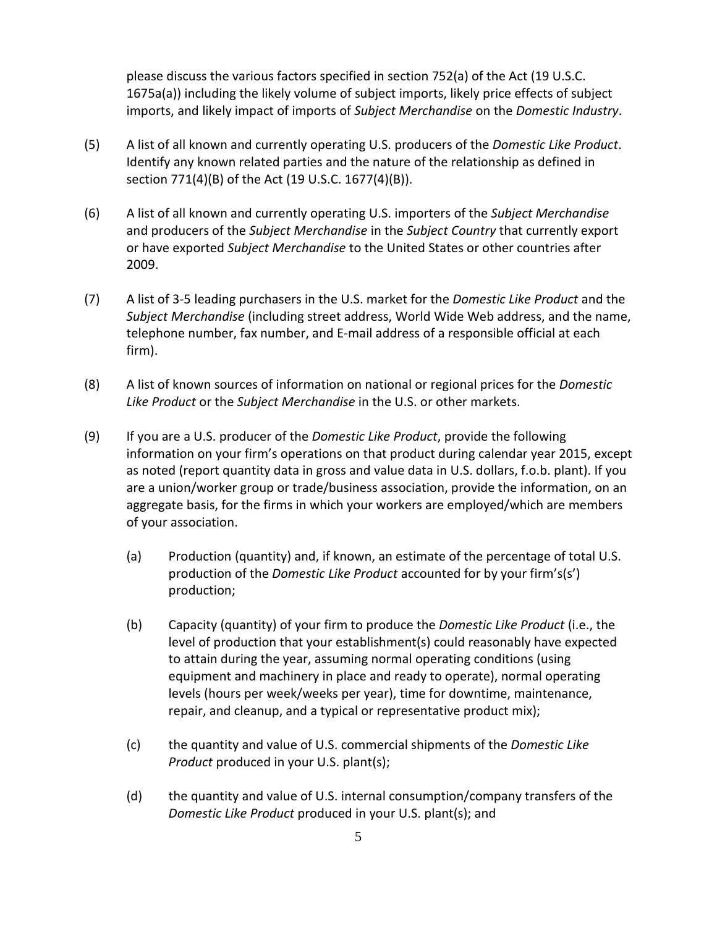please discuss the various factors specified in section 752(a) of the Act (19 U.S.C. 1675a(a)) including the likely volume of subject imports, likely price effects of subject imports, and likely impact of imports of *Subject Merchandise* on the *Domestic Industry*.

- (5) A list of all known and currently operating U.S. producers of the *Domestic Like Product*. Identify any known related parties and the nature of the relationship as defined in section 771(4)(B) of the Act (19 U.S.C. 1677(4)(B)).
- (6) A list of all known and currently operating U.S. importers of the *Subject Merchandise* and producers of the *Subject Merchandise* in the *Subject Country* that currently export or have exported *Subject Merchandise* to the United States or other countries after 2009.
- (7) A list of 3-5 leading purchasers in the U.S. market for the *Domestic Like Product* and the *Subject Merchandise* (including street address, World Wide Web address, and the name, telephone number, fax number, and E-mail address of a responsible official at each firm).
- (8) A list of known sources of information on national or regional prices for the *Domestic Like Product* or the *Subject Merchandise* in the U.S. or other markets.
- (9) If you are a U.S. producer of the *Domestic Like Product*, provide the following information on your firm's operations on that product during calendar year 2015, except as noted (report quantity data in gross and value data in U.S. dollars, f.o.b. plant). If you are a union/worker group or trade/business association, provide the information, on an aggregate basis, for the firms in which your workers are employed/which are members of your association.
	- (a) Production (quantity) and, if known, an estimate of the percentage of total U.S. production of the *Domestic Like Product* accounted for by your firm's(s') production;
	- (b) Capacity (quantity) of your firm to produce the *Domestic Like Product* (i.e., the level of production that your establishment(s) could reasonably have expected to attain during the year, assuming normal operating conditions (using equipment and machinery in place and ready to operate), normal operating levels (hours per week/weeks per year), time for downtime, maintenance, repair, and cleanup, and a typical or representative product mix);
	- (c) the quantity and value of U.S. commercial shipments of the *Domestic Like Product* produced in your U.S. plant(s);
	- (d) the quantity and value of U.S. internal consumption/company transfers of the *Domestic Like Product* produced in your U.S. plant(s); and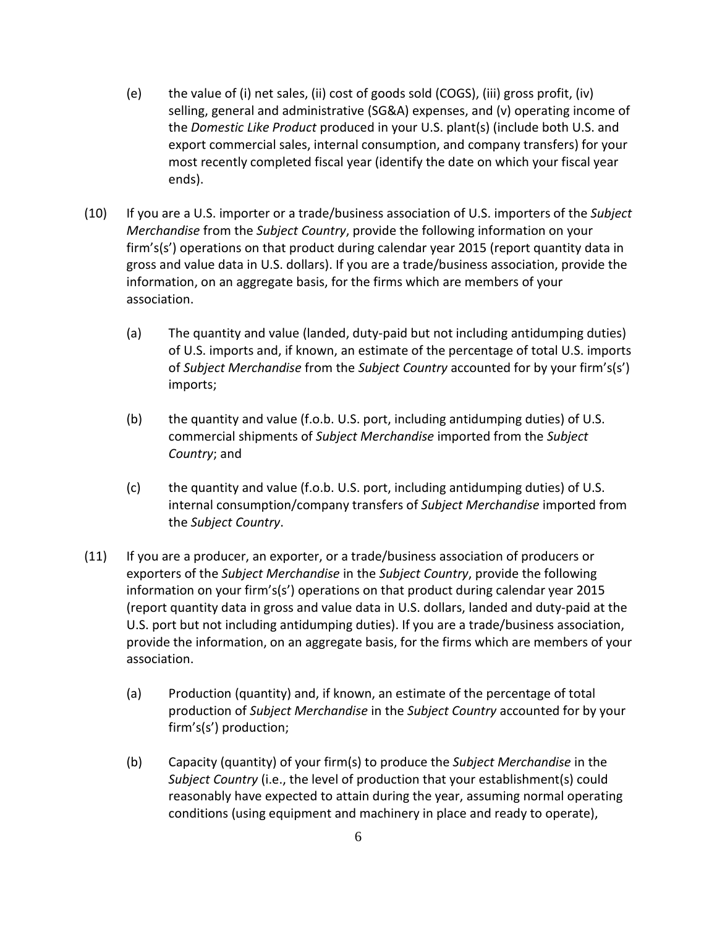- (e) the value of (i) net sales, (ii) cost of goods sold (COGS), (iii) gross profit, (iv) selling, general and administrative (SG&A) expenses, and (v) operating income of the *Domestic Like Product* produced in your U.S. plant(s) (include both U.S. and export commercial sales, internal consumption, and company transfers) for your most recently completed fiscal year (identify the date on which your fiscal year ends).
- (10) If you are a U.S. importer or a trade/business association of U.S. importers of the *Subject Merchandise* from the *Subject Country*, provide the following information on your firm's(s') operations on that product during calendar year 2015 (report quantity data in gross and value data in U.S. dollars). If you are a trade/business association, provide the information, on an aggregate basis, for the firms which are members of your association.
	- (a) The quantity and value (landed, duty-paid but not including antidumping duties) of U.S. imports and, if known, an estimate of the percentage of total U.S. imports of *Subject Merchandise* from the *Subject Country* accounted for by your firm's(s') imports;
	- (b) the quantity and value (f.o.b. U.S. port, including antidumping duties) of U.S. commercial shipments of *Subject Merchandise* imported from the *Subject Country*; and
	- (c) the quantity and value (f.o.b. U.S. port, including antidumping duties) of U.S. internal consumption/company transfers of *Subject Merchandise* imported from the *Subject Country*.
- (11) If you are a producer, an exporter, or a trade/business association of producers or exporters of the *Subject Merchandise* in the *Subject Country*, provide the following information on your firm's(s') operations on that product during calendar year 2015 (report quantity data in gross and value data in U.S. dollars, landed and duty-paid at the U.S. port but not including antidumping duties). If you are a trade/business association, provide the information, on an aggregate basis, for the firms which are members of your association.
	- (a) Production (quantity) and, if known, an estimate of the percentage of total production of *Subject Merchandise* in the *Subject Country* accounted for by your firm's(s') production;
	- (b) Capacity (quantity) of your firm(s) to produce the *Subject Merchandise* in the *Subject Country* (i.e., the level of production that your establishment(s) could reasonably have expected to attain during the year, assuming normal operating conditions (using equipment and machinery in place and ready to operate),